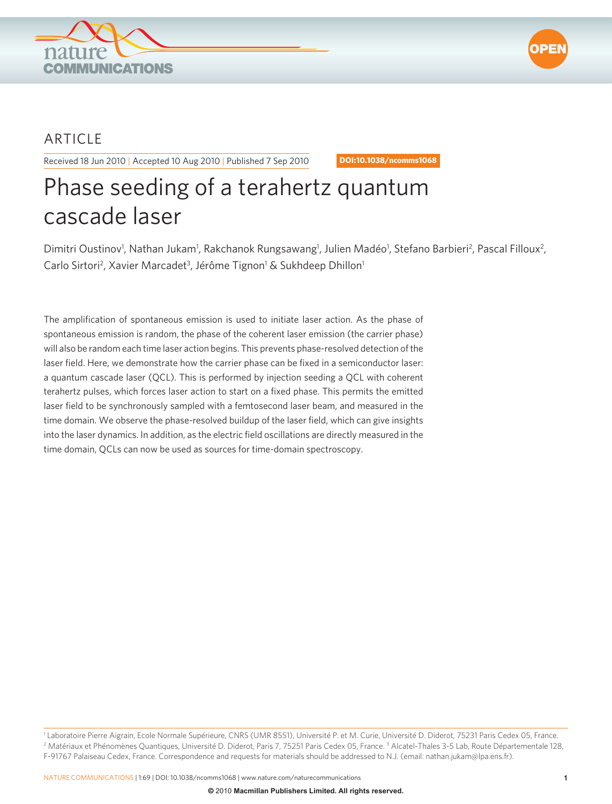



## ARTICLE

Received 18 Jun 2010 | Accepted 10 Aug 2010 | Published 7 Sep 2010 **DOI: 10.1038/ncomms1068** 

# Phase seeding of a terahertz quantum cascade laser

Dimitri Oustinov<sup>1</sup>, Nathan Jukam<sup>1</sup>, Rakchanok Rungsawang<sup>1</sup>, Julien Madéo<sup>1</sup>, Stefano Barbieri<sup>2</sup>, Pascal Filloux<sup>2</sup>, Carlo Sirtori<sup>2</sup>, Xavier Marcadet<sup>3</sup>, Jérôme Tignon<sup>1</sup> & Sukhdeep Dhillon<sup>1</sup>

The amplification of spontaneous emission is used to initiate laser action. As the phase of spontaneous emission is random, the phase of the coherent laser emission (the carrier phase) will also be random each time laser action begins. This prevents phase-resolved detection of the laser field. Here, we demonstrate how the carrier phase can be fixed in a semiconductor laser: a quantum cascade laser (QCL). This is performed by injection seeding a QCL with coherent terahertz pulses, which forces laser action to start on a fixed phase. This permits the emitted laser field to be synchronously sampled with a femtosecond laser beam, and measured in the time domain. We observe the phase-resolved buildup of the laser field, which can give insights into the laser dynamics. In addition, as the electric field oscillations are directly measured in the time domain, QCLs can now be used as sources for time-domain spectroscopy.

<sup>&</sup>lt;sup>1</sup> Laboratoire Pierre Aigrain, Ecole Normale Supérieure, CNRS (UMR 8551), Université P. et M. Curie, Université D. Diderot, 75231 Paris Cedex 05, France.<br><sup>2</sup> Matériaux et Phénomènes Quantiques Thiversité D. Diderot. Paris Matériaux et Phénomènes Quantiques, Université D. Diderot, Paris 7, 75251 Paris Cedex 05, France.<sup>3</sup> Alcatel-Thales 3-5 Lab, Route Départementale 128, F-91767 Palaiseau Cedex, France. Correspondence and requests for materials should be addressed to N.J. (email: nathan.jukam@lpa.ens.fr).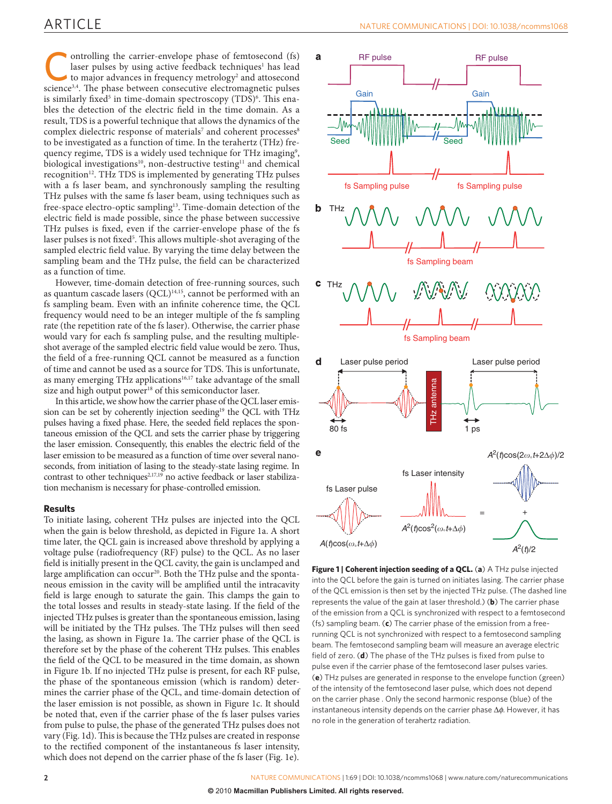### ARTICLE

ontrolling the carrier-envelope phase of femtosecond (fs) laser pulses by using active feedback techniques<sup>1</sup> has lead to major advances in frequency metrology<sup>2</sup> and attosecond science<sup>3,4</sup>. The phase between consecutive laser pulses by using active feedback techniques<sup>1</sup> has lead science<sup>3,4</sup>. The phase between consecutive electromagnetic pulses is similarly fixed<sup>5</sup> in time-domain spectroscopy (TDS)<sup>6</sup>. This enables the detection of the electric field in the time domain. As a result, TDS is a powerful technique that allows the dynamics of the complex dielectric response of materials<sup>7</sup> and coherent processes<sup>8</sup> to be investigated as a function of time. In the terahertz (THz) frequency regime, TDS is a widely used technique for THz imaging<sup>9</sup>, biological investigations<sup>10</sup>, non-destructive testing<sup>11</sup> and chemical recognition 12 . THz TDS is implemented by generating THz pulses with a fs laser beam, and synchronously sampling the resulting THz pulses with the same fs laser beam, using techniques such as free-space electro-optic sampling<sup>13</sup>. Time-domain detection of the electric field is made possible, since the phase between successive THz pulses is fixed, even if the carrier-envelope phase of the fs laser pulses is not fixed<sup>5</sup>. This allows multiple-shot averaging of the sampled electric field value. By varying the time delay between the sampling beam and the THz pulse, the field can be characterized as a function of time.

 However, time-domain detection of free-running sources, such as quantum cascade lasers (QCL)<sup>14,15</sup>, cannot be performed with an fs sampling beam. Even with an infinite coherence time, the QCL frequency would need to be an integer multiple of the fs sampling rate (the repetition rate of the fs laser). Otherwise, the carrier phase would vary for each fs sampling pulse, and the resulting multipleshot average of the sampled electric field value would be zero. Thus, the field of a free-running QCL cannot be measured as a function of time and cannot be used as a source for TDS. This is unfortunate, as many emerging THz applications<sup>16,17</sup> take advantage of the small size and high output power<sup>18</sup> of this semiconductor laser.

 In this article, we show how the carrier phase of the QCL laser emission can be set by coherently injection seeding<sup>19</sup> the QCL with THz pulses having a fixed phase. Here, the seeded field replaces the spontaneous emission of the QCL and sets the carrier phase by triggering the laser emission. Consequently, this enables the electric field of the laser emission to be measured as a function of time over several nanoseconds, from initiation of lasing to the steady-state lasing regime. In contrast to other techniques<sup>2,17,19</sup> no active feedback or laser stabilization mechanism is necessary for phase-controlled emission.

### **Results**

 To initiate lasing, coherent THz pulses are injected into the QCL when the gain is below threshold, as depicted in Figure 1a . A short time later, the QCL gain is increased above threshold by applying a voltage pulse (radiofrequency (RF) pulse) to the QCL. As no laser field is initially present in the QCL cavity, the gain is unclamped and large amplification can occur<sup>20</sup>. Both the THz pulse and the spontaneous emission in the cavity will be amplified until the intracavity field is large enough to saturate the gain. This clamps the gain to the total losses and results in steady-state lasing. If the field of the injected THz pulses is greater than the spontaneous emission, lasing will be initiated by the THz pulses. The THz pulses will then seed the lasing, as shown in Figure 1a. The carrier phase of the QCL is therefore set by the phase of the coherent THz pulses. This enables the field of the QCL to be measured in the time domain, as shown in Figure 1b. If no injected THz pulse is present, for each RF pulse, the phase of the spontaneous emission (which is random) determines the carrier phase of the QCL, and time-domain detection of the laser emission is not possible, as shown in Figure 1c. It should be noted that, even if the carrier phase of the fs laser pulses varies from pulse to pulse, the phase of the generated THz pulses does not vary (Fig. 1d). This is because the THz pulses are created in response to the rectified component of the instantaneous fs laser intensity, which does not depend on the carrier phase of the fs laser (Fig. 1e).



**Figure 1 | Coherent injection seeding of a QCL.** (a) A THz pulse injected into the QCL before the gain is turned on initiates lasing. The carrier phase of the QCL emission is then set by the injected THz pulse. (The dashed line represents the value of the gain at laser threshold.) (b) The carrier phase of the emission from a QCL is synchronized with respect to a femtosecond (fs) sampling beam. (c) The carrier phase of the emission from a freerunning QCL is not synchronized with respect to a femtosecond sampling beam. The femtosecond sampling beam will measure an average electric field of zero. (d) The phase of the THz pulses is fixed from pulse to pulse even if the carrier phase of the femtosecond laser pulses varies. ( **e** ) THz pulses are generated in response to the envelope function (green) of the intensity of the femtosecond laser pulse, which does not depend on the carrier phase . Only the second harmonic response (blue) of the instantaneous intensity depends on the carrier phase  $\Delta \phi$ . However, it has no role in the generation of terahertz radiation.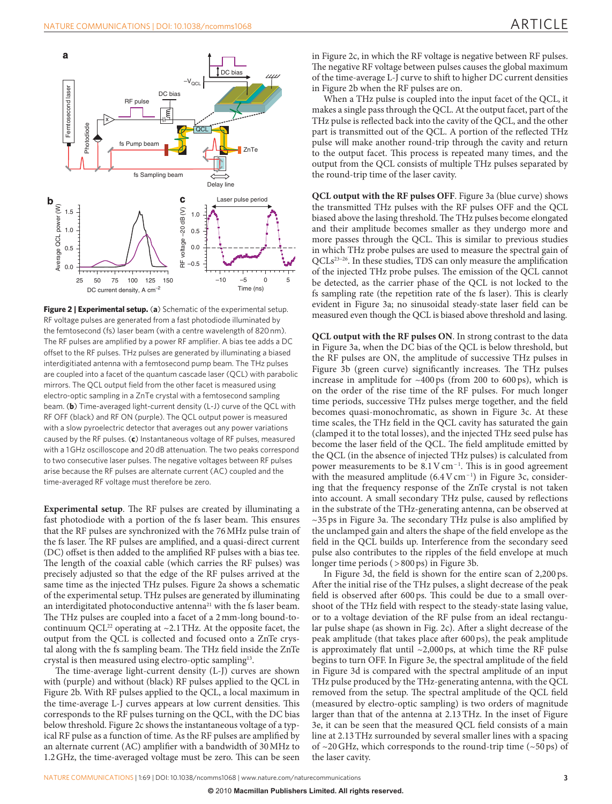

Figure 2 | Experimental setup. (a) Schematic of the experimental setup. RF voltage pulses are generated from a fast photodiode illuminated by the femtosecond (fs) laser beam (with a centre wavelength of 820 nm). The RF pulses are amplified by a power RF amplifier. A bias tee adds a DC offset to the RF pulses. THz pulses are generated by illuminating a biased interdigitiated antenna with a femtosecond pump beam. The THz pulses are coupled into a facet of the quantum cascade laser (QCL) with parabolic mirrors. The QCL output field from the other facet is measured using electro-optic sampling in a ZnTe crystal with a femtosecond sampling beam. (b) Time-averaged light-current density (L-J) curve of the QCL with RF OFF (black) and RF ON (purple). The QCL output power is measured with a slow pyroelectric detector that averages out any power variations caused by the RF pulses. (c) Instantaneous voltage of RF pulses, measured with a 1 GHz oscilloscope and 20 dB attenuation. The two peaks correspond to two consecutive laser pulses. The negative voltages between RF pulses arise because the RF pulses are alternate current (AC) coupled and the time-averaged RF voltage must therefore be zero.

**Experimental setup**. The RF pulses are created by illuminating a fast photodiode with a portion of the fs laser beam. This ensures that the RF pulses are synchronized with the 76 MHz pulse train of the fs laser. The RF pulses are amplified, and a quasi-direct current (DC) offset is then added to the amplified RF pulses with a bias tee. The length of the coaxial cable (which carries the RF pulses) was precisely adjusted so that the edge of the RF pulses arrived at the same time as the injected THz pulses. Figure 2a shows a schematic of the experimental setup. THz pulses are generated by illuminating an interdigitated photoconductive antenna<sup>21</sup> with the fs laser beam. The THz pulses are coupled into a facet of a 2 mm-long bound-tocontinuum QCL<sup>22</sup> operating at  $\sim$ 2.1 THz. At the opposite facet, the output from the QCL is collected and focused onto a ZnTe crystal along with the fs sampling beam. The THz field inside the ZnTe crystal is then measured using electro-optic sampling<sup>13</sup>.

The time-average light-current density (L-J) curves are shown with (purple) and without (black) RF pulses applied to the QCL in Figure 2b. With RF pulses applied to the QCL, a local maximum in the time-average L-J curves appears at low current densities. This corresponds to the RF pulses turning on the QCL, with the DC bias below threshold. Figure 2c shows the instantaneous voltage of a typical RF pulse as a function of time. As the RF pulses are amplified by an alternate current (AC) amplifier with a bandwidth of 30 MHz to 1.2 GHz, the time-averaged voltage must be zero. This can be seen

in Figure 2c, in which the RF voltage is negative between RF pulses. The negative RF voltage between pulses causes the global maximum of the time-average L-J curve to shift to higher DC current densities in Figure 2b when the RF pulses are on.

 When a THz pulse is coupled into the input facet of the QCL, it makes a single pass through the QCL. At the output facet, part of the THz pulse is reflected back into the cavity of the QCL, and the other part is transmitted out of the QCL. A portion of the reflected THz pulse will make another round-trip through the cavity and return to the output facet. This process is repeated many times, and the output from the QCL consists of multiple THz pulses separated by the round-trip time of the laser cavity.

**QCL output with the RF pulses OFF** . Figure 3a (blue curve) shows the transmitted THz pulses with the RF pulses OFF and the QCL biased above the lasing threshold. The THz pulses become elongated and their amplitude becomes smaller as they undergo more and more passes through the QCL. This is similar to previous studies in which THz probe pulses are used to measure the spectral gain of  $QCLs<sup>23-26</sup>$ . In these studies, TDS can only measure the amplification of the injected THz probe pulses. The emission of the QCL cannot be detected, as the carrier phase of the QCL is not locked to the fs sampling rate (the repetition rate of the fs laser). This is clearly evident in Figure 3a; no sinusoidal steady-state laser field can be measured even though the QCL is biased above threshold and lasing.

**QCL output with the RF pulses ON** . In strong contrast to the data in Figure 3a, when the DC bias of the QCL is below threshold, but the RF pulses are ON, the amplitude of successive THz pulses in Figure 3b (green curve) significantly increases. The THz pulses increase in amplitude for  $~100 \text{ ps}$  (from 200 to 600 ps), which is on the order of the rise time of the RF pulses. For much longer time periods, successive THz pulses merge together, and the field becomes quasi-monochromatic, as shown in Figure 3c. At these time scales, the THz field in the QCL cavity has saturated the gain (clamped it to the total losses), and the injected THz seed pulse has become the laser field of the OCL. The field amplitude emitted by the QCL (in the absence of injected THz pulses) is calculated from power measurements to be  $8.1 \,\mathrm{V} \,\mathrm{cm}^{-1}$ . This is in good agreement with the measured amplitude  $(6.4 \text{ V cm}^{-1})$  in Figure 3c, considering that the frequency response of the ZnTe crystal is not taken into account. A small secondary THz pulse, caused by reflections in the substrate of the THz-generating antenna, can be observed at  $\sim$ 35 ps in Figure 3a. The secondary THz pulse is also amplified by the unclamped gain and alters the shape of the field envelope as the field in the QCL builds up. Interference from the secondary seed pulse also contributes to the ripples of the field envelope at much longer time periods ( > 800 ps) in Figure 3b.

In Figure 3d, the field is shown for the entire scan of 2,200 ps. After the initial rise of the THz pulses, a slight decrease of the peak field is observed after 600 ps. This could be due to a small overshoot of the THz field with respect to the steady-state lasing value, or to a voltage deviation of the RF pulse from an ideal rectangular pulse shape (as shown in Fig. 2c). After a slight decrease of the peak amplitude (that takes place after 600 ps), the peak amplitude is approximately flat until  $\sim$ 2,000 ps, at which time the RF pulse begins to turn OFF. In Figure 3e, the spectral amplitude of the field in Figure 3d is compared with the spectral amplitude of an input THz pulse produced by the THz-generating antenna, with the QCL removed from the setup. The spectral amplitude of the QCL field (measured by electro-optic sampling) is two orders of magnitude larger than that of the antenna at 2.13 THz. In the inset of Figure 3e, it can be seen that the measured QCL field consists of a main line at 2.13 THz surrounded by several smaller lines with a spacing of  $\sim$ 20 GHz, which corresponds to the round-trip time ( $\sim$ 50 ps) of the laser cavity.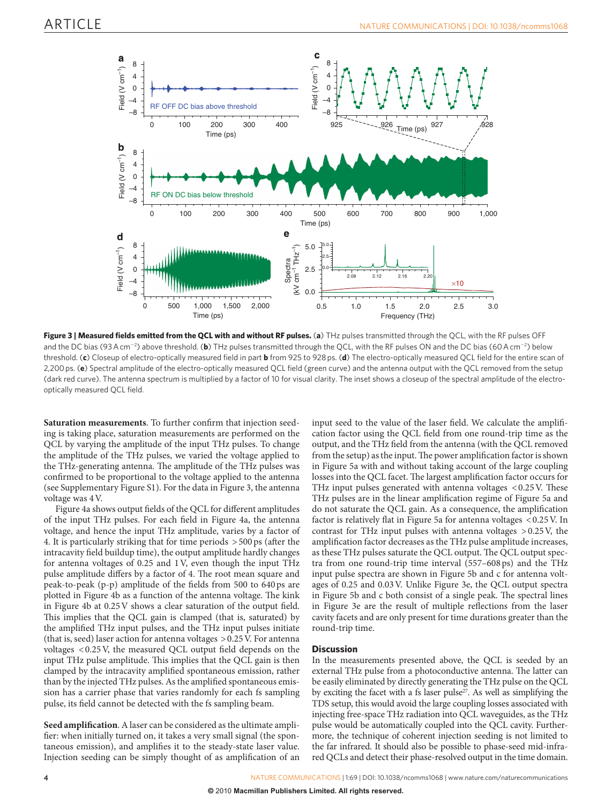

Figure 3 | Measured fields emitted from the QCL with and without RF pulses. (a) THz pulses transmitted through the QCL, with the RF pulses OFF and the DC bias (93 A cm<sup>-2</sup>) above threshold. (b) THz pulses transmitted through the QCL, with the RF pulses ON and the DC bias (60 A cm<sup>-2</sup>) below threshold. (c) Closeup of electro-optically measured field in part **b** from 925 to 928 ps. (d) The electro-optically measured QCL field for the entire scan of 2,200 ps. (e) Spectral amplitude of the electro-optically measured QCL field (green curve) and the antenna output with the QCL removed from the setup (dark red curve). The antenna spectrum is multiplied by a factor of 10 for visual clarity. The inset shows a closeup of the spectral amplitude of the electrooptically measured QCL field.

Saturation measurements. To further confirm that injection seeding is taking place, saturation measurements are performed on the QCL by varying the amplitude of the input THz pulses. To change the amplitude of the THz pulses, we varied the voltage applied to the THz-generating antenna. The amplitude of the THz pulses was confirmed to be proportional to the voltage applied to the antenna (see Supplementary Figure S1 ). For the data in Figure 3 , the antenna voltage was 4 V.

Figure 4a shows output fields of the QCL for different amplitudes of the input THz pulses. For each field in Figure 4a, the antenna voltage, and hence the input THz amplitude, varies by a factor of 4. It is particularly striking that for time periods  $> 500 \text{ ps}$  (after the intracavity field buildup time), the output amplitude hardly changes for antenna voltages of 0.25 and 1 V, even though the input THz pulse amplitude differs by a factor of 4. The root mean square and peak-to-peak  $(p-p)$  amplitude of the fields from 500 to 640 ps are plotted in Figure 4b as a function of the antenna voltage. The kink in Figure 4b at  $0.25V$  shows a clear saturation of the output field. This implies that the QCL gain is clamped (that is, saturated) by the amplified THz input pulses, and the THz input pulses initiate (that is, seed) laser action for antenna voltages > 0.25 V. For antenna voltages  $< 0.25$  V, the measured QCL output field depends on the input THz pulse amplitude. This implies that the QCL gain is then clamped by the intracavity amplified spontaneous emission, rather than by the injected THz pulses. As the amplified spontaneous emission has a carrier phase that varies randomly for each fs sampling pulse, its field cannot be detected with the fs sampling beam.

Seed amplification. A laser can be considered as the ultimate amplifier: when initially turned on, it takes a very small signal (the spontaneous emission), and amplifies it to the steady-state laser value. Injection seeding can be simply thought of as amplification of an input seed to the value of the laser field. We calculate the amplification factor using the OCL field from one round-trip time as the output, and the THz field from the antenna (with the QCL removed from the setup) as the input. The power amplification factor is shown in Figure 5a with and without taking account of the large coupling losses into the QCL facet. The largest amplification factor occurs for THz input pulses generated with antenna voltages  $< 0.25$  V. These THz pulses are in the linear amplification regime of Figure 5a and do not saturate the QCL gain. As a consequence, the amplification factor is relatively flat in Figure 5a for antenna voltages < $0.25$  V. In contrast for THz input pulses with antenna voltages > 0.25 V, the amplification factor decreases as the THz pulse amplitude increases, as these THz pulses saturate the QCL output. The QCL output spectra from one round-trip time interval (557 – 608 ps) and the THz input pulse spectra are shown in Figure 5b and c for antenna voltages of 0.25 and 0.03 V. Unlike Figure 3e, the QCL output spectra in Figure 5b and c both consist of a single peak. The spectral lines in Figure 3e are the result of multiple reflections from the laser cavity facets and are only present for time durations greater than the round-trip time.

### **Discussion**

 In the measurements presented above, the QCL is seeded by an external THz pulse from a photoconductive antenna. The latter can be easily eliminated by directly generating the THz pulse on the QCL by exciting the facet with a fs laser pulse<sup> $27$ </sup>. As well as simplifying the TDS setup, this would avoid the large coupling losses associated with injecting free-space THz radiation into QCL waveguides, as the THz pulse would be automatically coupled into the QCL cavity. Furthermore, the technique of coherent injection seeding is not limited to the far infrared. It should also be possible to phase-seed mid-infrared QCLs and detect their phase-resolved output in the time domain.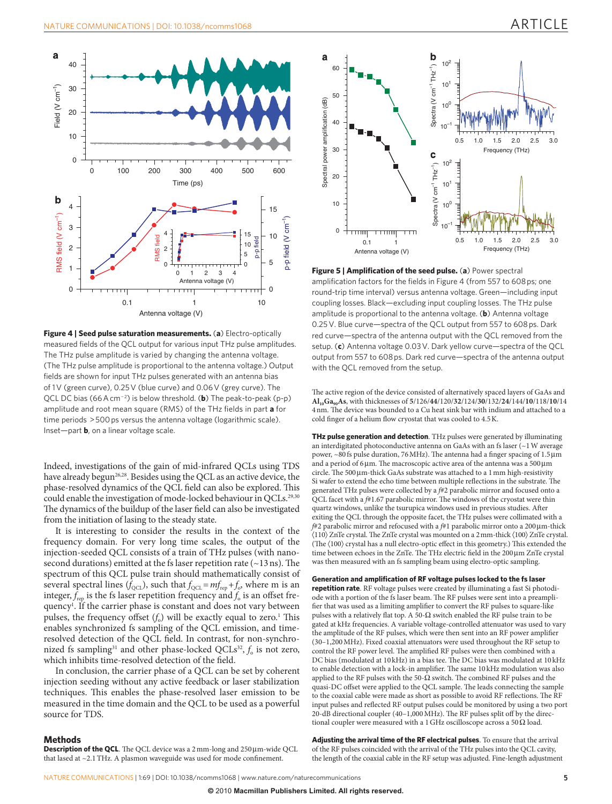

Figure 4 | Seed pulse saturation measurements. (a) Electro-optically measured fields of the QCL output for various input THz pulse amplitudes. The THz pulse amplitude is varied by changing the antenna voltage. (The THz pulse amplitude is proportional to the antenna voltage.) Output fields are shown for input THz pulses generated with an antenna bias of 1V (green curve), 0.25 V (blue curve) and 0.06 V (grey curve). The QCL DC bias (66 A cm<sup>-2</sup>) is below threshold. (**b**) The peak-to-peak (p-p) amplitude and root mean square (RMS) of the THz fields in part **a** for time periods > 500 ps versus the antenna voltage (logarithmic scale). Inset-part **b**, on a linear voltage scale.

Indeed, investigations of the gain of mid-infrared QCLs using TDS have already begun<sup>26,28</sup>. Besides using the QCL as an active device, the phase-resolved dynamics of the QCL field can also be explored. This could enable the investigation of mode-locked behaviour in QCLs. 29,30 The dynamics of the buildup of the laser field can also be investigated from the initiation of lasing to the steady state.

 It is interesting to consider the results in the context of the frequency domain. For very long time scales, the output of the injection-seeded QCL consists of a train of THz pulses (with nanosecond durations) emitted at the fs laser repetition rate  $(-13 \text{ ns})$ . The spectrum of this QCL pulse train should mathematically consist of several spectral lines  $(\bar{f}_{QCL})$ , such that  $f_{QCL} = mf_{rep} + f_o$ , where m is an integer,  $\bar{f}_{\text{rep}}$  is the fs laser repetition frequency and  $\bar{f}_{\text{o}}$  is an offset frequency<sup>1</sup>. If the carrier phase is constant and does not vary between pulses, the frequency offset  $(f_0)$  will be exactly equal to zero.<sup>1</sup> This enables synchronized fs sampling of the QCL emission, and timeresolved detection of the QCL field. In contrast, for non-synchronized fs sampling<sup>31</sup> and other phase-locked QCLs<sup>32</sup>,  $f_0$  is not zero, which inhibits time-resolved detection of the field.

 In conclusion, the carrier phase of a QCL can be set by coherent injection seeding without any active feedback or laser stabilization techniques. This enables the phase-resolved laser emission to be measured in the time domain and the QCL to be used as a powerful source for TDS.

#### **Methods**

**Description of the QCL**. The QCL device was a 2 mm-long and 250 μm-wide QCL that lased at  $\sim$  2.1 THz. A plasmon waveguide was used for mode confinement.



**Figure 5 | Amplification of the seed pulse. (a) Power spectral** amplification factors for the fields in Figure 4 (from 557 to 608 ps; one round-trip time interval) versus antenna voltage. Green — including input coupling losses. Black — excluding input coupling losses. The THz pulse amplitude is proportional to the antenna voltage. (**b**) Antenna voltage 0.25 V. Blue curve-spectra of the QCL output from 557 to 608 ps. Dark red curve-spectra of the antenna output with the QCL removed from the setup. (c) Antenna voltage 0.03 V. Dark yellow curve-spectra of the QCL output from 557 to 608 ps. Dark red curve — spectra of the antenna output with the QCL removed from the setup.

The active region of the device consisted of alternatively spaced layers of GaAs and **Al 10 Ga 90 As** , with thicknesses of **5** / 126 / **44** / 120 / **32** / 124 / **30** / 132 / **24** / 144 / **10** / 118 / **10** / 14 4 nm. The device was bounded to a Cu heat sink bar with indium and attached to a cold finger of a helium flow cryostat that was cooled to 4.5 K.

**THz pulse generation and detection** . THz pulses were generated by illuminating an interdigitated photoconductive antenna on GaAs with an fs laser (  $\sim\!\!1\,\mathrm{W}$  average power,  $\sim$ 80 fs pulse duration, 76 MHz). The antenna had a finger spacing of 1.5  $\mu$ m and a period of 6  $\mu$ m. The macroscopic active area of the antenna was a 500  $\mu$ m circle. The 500 μm-thick GaAs substrate was attached to a 1 mm high-resistivity Si wafer to extend the echo time between multiple reflections in the substrate. The generated THz pulses were collected by a  $\#2$  parabolic mirror and focused onto a QCL facet with a  $f#1.67$  parabolic mirror. The windows of the cryostat were thin quartz windows, unlike the tsurupica windows used in previous studies. After exiting the QCL through the opposite facet, the THz pulses were collimated with a *f*#2 parabolic mirror and refocused with a *f*#1 parabolic mirror onto a 200μm-thick  $\langle 110 \rangle$  ZnTe crystal. The ZnTe crystal was mounted on a 2 mm-thick  $\langle 100 \rangle$  ZnTe crystal. (The  $\langle 100 \rangle$  crystal has a null electro-optic effect in this geometry.) This extended the time between echoes in the ZnTe. The THz electric field in the 200 μm ZnTe crystal was then measured with an fs sampling beam using electro-optic sampling.

**Generation and amplification of RF voltage pulses locked to the fs laser repetition rate** . RF voltage pulses were created by illuminating a fast Si photodiode with a portion of the fs laser beam. The RF pulses were sent into a preamplifier that was used as a limiting amplifier to convert the RF pulses to square-like pulses with a relatively flat top. A 50- $\Omega$  switch enabled the RF pulse train to be gated at kHz frequencies. A variable voltage-controlled attenuator was used to vary the amplitude of the RF pulses, which were then sent into an RF power amplifier (30 – 1,200 MHz). Fixed coaxial attenuators were used throughout the RF setup to control the RF power level. The amplified RF pulses were then combined with a DC bias (modulated at 10 kHz) in a bias tee. The DC bias was modulated at 10 kHz to enable detection with a lock-in amplifier. The same 10 kHz modulation was also applied to the RF pulses with the 50- $\Omega$  switch. The combined RF pulses and the quasi-DC offset were applied to the QCL sample. The leads connecting the sample to the coaxial cable were made as short as possible to avoid RF reflections. The RF input pulses and reflected RF output pulses could be monitored by using a two port 20-dB directional coupler (40-1,000 MHz). The RF pulses split off by the directional coupler were measured with a 1 GHz oscilloscope across a 50  $\Omega$  load.

**Adjusting the arrival time of the RF electrical pulses** . To ensure that the arrival of the RF pulses coincided with the arrival of the THz pulses into the QCL cavity, the length of the coaxial cable in the RF setup was adjusted. Fine-length adjustment